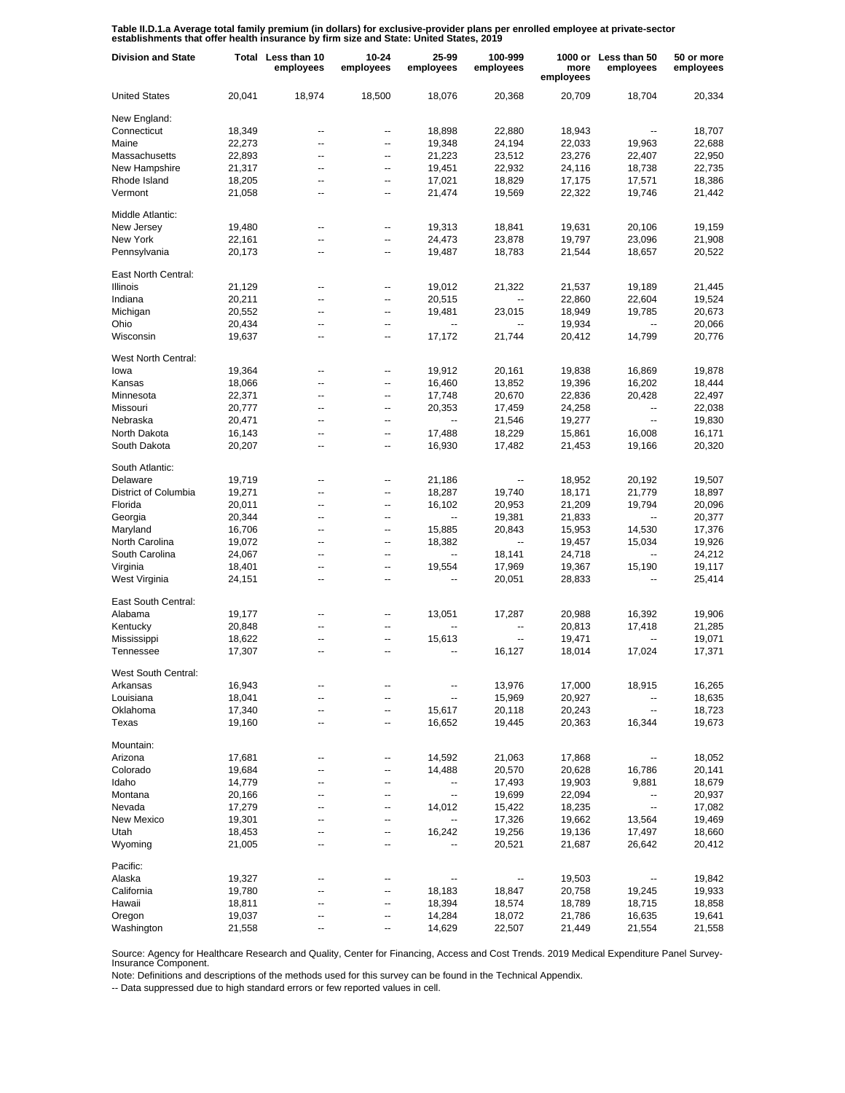Table II.D.1.a Average total family premium (in dollars) for exclusive-provider plans per enrolled employee at private-sector<br>establishments that offer health insurance by firm size and State: United States, 2019

| <b>Division and State</b> |                  | Total Less than 10<br>employees | 10-24<br>employees | 25-99<br>employees       | 100-999<br>employees     | more<br>employees | 1000 or Less than 50<br>employees | 50 or more<br>employees |
|---------------------------|------------------|---------------------------------|--------------------|--------------------------|--------------------------|-------------------|-----------------------------------|-------------------------|
| <b>United States</b>      | 20,041           | 18,974                          | 18,500             | 18,076                   | 20,368                   | 20,709            | 18,704                            | 20,334                  |
| New England:              |                  |                                 |                    |                          |                          |                   |                                   |                         |
| Connecticut               | 18,349           | --                              | --                 | 18,898                   | 22,880                   | 18,943            | $\overline{\phantom{a}}$          | 18,707                  |
| Maine                     | 22,273           | --                              | --                 | 19,348                   | 24,194                   | 22,033            | 19,963                            | 22,688                  |
| Massachusetts             | 22,893           | --                              | --                 | 21,223                   | 23,512                   | 23,276            | 22,407                            | 22,950                  |
| New Hampshire             | 21,317           | ۰.                              | --                 | 19,451                   | 22,932                   | 24,116            | 18,738                            | 22,735                  |
| Rhode Island              | 18,205           | --                              | --                 | 17,021                   | 18,829                   | 17,175            | 17,571                            | 18,386                  |
| Vermont                   | 21,058           | --                              | --                 | 21,474                   | 19,569                   | 22,322            | 19,746                            | 21,442                  |
| Middle Atlantic:          |                  |                                 |                    |                          |                          |                   |                                   |                         |
| New Jersey                | 19,480           | --                              | $\overline{a}$     | 19,313                   | 18,841                   | 19,631            | 20,106                            | 19,159                  |
| New York                  | 22,161           | --                              | --                 | 24,473                   | 23,878                   | 19,797            | 23,096                            | 21,908                  |
| Pennsylvania              | 20,173           | --                              | $\overline{a}$     | 19,487                   | 18,783                   | 21,544            | 18,657                            | 20,522                  |
| East North Central:       |                  |                                 |                    |                          |                          |                   |                                   |                         |
| Illinois                  | 21,129           | --                              | --                 | 19,012                   | 21,322                   | 21,537            | 19,189                            | 21,445                  |
| Indiana                   | 20,211           | --                              | --                 | 20,515                   |                          | 22,860            | 22,604                            | 19,524                  |
| Michigan                  | 20,552           | --                              | --                 | 19,481                   | 23,015                   | 18,949            | 19,785                            | 20,673                  |
| Ohio                      | 20,434           | --                              | --                 |                          |                          | 19,934            |                                   | 20,066                  |
| Wisconsin                 | 19,637           | --                              | $\overline{a}$     | 17,172                   | 21,744                   | 20,412            | 14,799                            | 20,776                  |
| West North Central:       |                  |                                 |                    |                          |                          |                   |                                   |                         |
| lowa                      | 19,364           | --                              | --                 | 19,912                   | 20,161                   | 19,838            | 16,869                            | 19,878                  |
| Kansas                    | 18,066           | --                              | --                 | 16,460                   | 13,852                   | 19,396            | 16,202                            | 18,444                  |
| Minnesota                 | 22,371           | --                              | --                 | 17,748                   | 20,670                   | 22,836            | 20,428                            | 22,497                  |
| Missouri                  | 20,777           | --                              | ⊷                  | 20,353                   | 17,459                   | 24,258            | ۰.                                | 22,038                  |
| Nebraska                  | 20,471           | --                              | --                 | $\overline{a}$           | 21,546                   | 19,277            | $\overline{\phantom{a}}$          | 19,830                  |
| North Dakota              | 16,143           | --                              | --                 | 17,488                   | 18,229                   | 15,861            | 16,008                            | 16,171                  |
| South Dakota              | 20,207           | --                              | --                 | 16,930                   | 17,482                   | 21,453            | 19,166                            | 20,320                  |
| South Atlantic:           |                  |                                 |                    |                          |                          |                   |                                   |                         |
| Delaware                  | 19,719           | --                              | --                 | 21,186                   | $\overline{\phantom{a}}$ | 18,952            | 20,192                            | 19,507                  |
| District of Columbia      | 19,271           | --                              | $\overline{a}$     | 18,287                   | 19,740                   | 18,171            | 21,779                            | 18,897                  |
| Florida                   | 20,011           | --                              | --                 | 16,102                   | 20,953                   | 21,209            | 19,794                            | 20,096                  |
| Georgia                   | 20,344           | --                              | --                 | ۰.                       | 19,381                   | 21,833            | --                                | 20,377                  |
| Maryland                  | 16,706           | --                              | --                 | 15,885                   | 20,843                   | 15,953            | 14,530                            | 17,376                  |
| North Carolina            | 19,072           | --                              | $\overline{a}$     | 18,382                   | $\overline{\phantom{a}}$ | 19,457            | 15,034                            | 19,926                  |
| South Carolina            | 24,067           | --                              | $\overline{a}$     | ۰.                       | 18,141                   | 24,718            | --                                | 24,212                  |
| Virginia                  | 18,401           | --                              | $\overline{a}$     | 19,554                   | 17,969                   | 19,367            | 15,190                            | 19,117                  |
| West Virginia             | 24,151           | --                              | --                 |                          | 20,051                   | 28,833            | $\overline{a}$                    | 25,414                  |
| East South Central:       |                  |                                 |                    |                          |                          |                   |                                   |                         |
| Alabama                   | 19,177           | --                              | --                 | 13,051                   | 17,287                   | 20,988            | 16,392                            | 19,906                  |
| Kentucky                  | 20,848           |                                 | --                 |                          | $\overline{\phantom{a}}$ | 20,813            | 17,418                            | 21,285                  |
| Mississippi               | 18,622           | --                              | --                 | 15,613                   | $\overline{\phantom{a}}$ | 19,471            |                                   | 19,071                  |
| Tennessee                 | 17,307           |                                 | --                 | $\overline{\phantom{a}}$ | 16,127                   | 18,014            | 17,024                            | 17,371                  |
| West South Central:       |                  |                                 |                    |                          |                          |                   |                                   |                         |
| Arkansas                  | 16,943           |                                 |                    |                          | 13,976                   | 17,000            | 18,915                            | 16,265                  |
| Louisiana                 | 18,041           | --                              | --                 |                          | 15,969                   | 20,927            |                                   | 18,635                  |
| Oklahoma<br>Texas         | 17,340<br>19,160 | --<br>۰.                        | --<br>--           | 15,617<br>16,652         | 20,118<br>19,445         | 20,243<br>20,363  | --<br>16,344                      | 18,723<br>19,673        |
|                           |                  |                                 |                    |                          |                          |                   |                                   |                         |
| Mountain:                 |                  |                                 |                    |                          |                          |                   |                                   |                         |
| Arizona                   | 17,681           |                                 |                    | 14,592                   | 21,063                   | 17,868            | --                                | 18,052                  |
| Colorado                  | 19,684           |                                 |                    | 14,488                   | 20,570                   | 20,628            | 16,786                            | 20,141                  |
| Idaho                     | 14,779           |                                 | --                 |                          | 17,493                   | 19,903            | 9,881                             | 18,679                  |
| Montana                   | 20,166           |                                 | --                 | --                       | 19,699                   | 22,094            | ۰.                                | 20,937                  |
| Nevada                    | 17,279           |                                 | --                 | 14,012                   | 15,422                   | 18,235            | ۰.                                | 17,082                  |
| New Mexico                | 19,301           |                                 | --                 |                          | 17,326                   | 19,662            | 13,564                            | 19,469                  |
| Utah                      | 18,453           |                                 | --                 | 16,242                   | 19,256                   | 19,136            | 17,497                            | 18,660                  |
| Wyoming                   | 21,005           | --                              | --                 |                          | 20,521                   | 21,687            | 26,642                            | 20,412                  |
| Pacific:                  |                  |                                 |                    |                          |                          |                   |                                   |                         |
| Alaska                    | 19,327           |                                 |                    |                          |                          | 19,503            |                                   | 19,842                  |
| California                | 19,780           |                                 | --                 | 18,183                   | 18,847                   | 20,758            | 19,245                            | 19,933                  |
| Hawaii                    | 18,811           | --                              | --                 | 18,394                   | 18,574                   | 18,789            | 18,715                            | 18,858                  |
| Oregon                    | 19,037           |                                 | --                 | 14,284                   | 18,072                   | 21,786            | 16,635                            | 19,641                  |
| Washington                | 21,558           | --                              | --                 | 14,629                   | 22,507                   | 21,449            | 21,554                            | 21,558                  |

Source: Agency for Healthcare Research and Quality, Center for Financing, Access and Cost Trends. 2019 Medical Expenditure Panel Survey-Insurance Component.

Note: Definitions and descriptions of the methods used for this survey can be found in the Technical Appendix.

-- Data suppressed due to high standard errors or few reported values in cell.